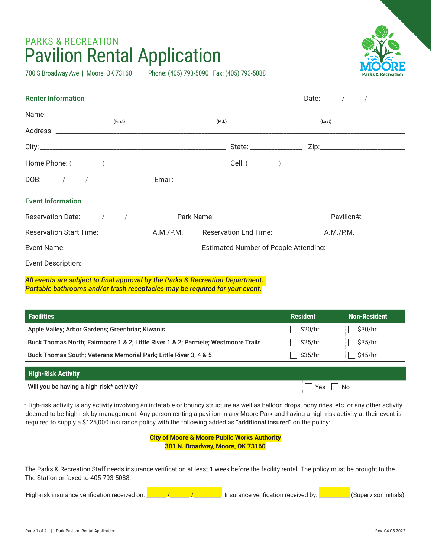## PARKS & RECREATION Pavilion Rental Application

700 S Broadway Ave | Moore, OK 73160 Phone: (405) 793-5090 Fax: (405) 793-5088



| <b>Renter Information</b> |  |        |        |  |
|---------------------------|--|--------|--------|--|
| (First)                   |  | (M.I.) | (Last) |  |
|                           |  |        |        |  |
|                           |  |        |        |  |
|                           |  |        |        |  |
|                           |  |        |        |  |
| <b>Event Information</b>  |  |        |        |  |
|                           |  |        |        |  |
|                           |  |        |        |  |
|                           |  |        |        |  |
|                           |  |        |        |  |

*All events are subject to final approval by the Parks & Recreation Department. Portable bathrooms and/or trash receptacles may be required for your event.*

| <b>Facilities</b>                                                                 | <b>Resident</b> | <b>Non-Resident</b> |
|-----------------------------------------------------------------------------------|-----------------|---------------------|
| Apple Valley; Arbor Gardens; Greenbriar; Kiwanis                                  | \$20/hr         | \$30/hr             |
| Buck Thomas North; Fairmoore 1 & 2; Little River 1 & 2; Parmele; Westmoore Trails | \$25/hr         | \$35/hr             |
| Buck Thomas South; Veterans Memorial Park; Little River 3, 4 & 5                  | \$35/hr         | \$45/hr             |
| <b>High-Risk Activity</b>                                                         |                 |                     |
| Will you be having a high-risk* activity?<br>N∩<br>Yes                            |                 |                     |

\*High-risk activity is any activity involving an inflatable or bouncy structure as well as balloon drops, pony rides, etc. or any other activity deemed to be high risk by management. Any person renting a pavilion in any Moore Park and having a high-risk activity at their event is required to supply a \$125,000 insurance policy with the following added as "additional insured" on the policy:

|  | <b>City of Moore &amp; Moore Public Works Authority</b> |  |  |
|--|---------------------------------------------------------|--|--|
|  | 301 N. Broadway, Moore, OK 73160                        |  |  |

The Parks & Recreation Staff needs insurance verification at least 1 week before the facility rental. The policy must be brought to the The Station or faxed to 405-793-5088.